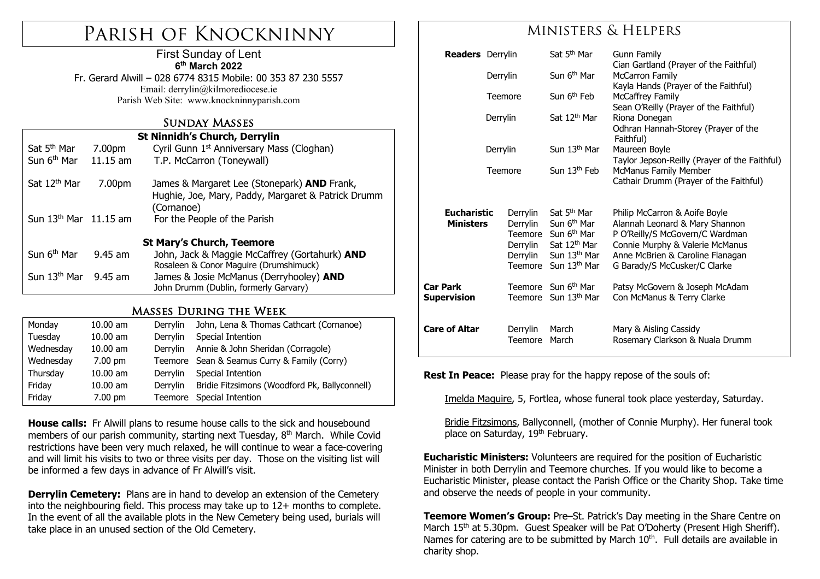# Parish of Knockninny

#### First Sunday of Lent **6th March 2022**

Fr. Gerard Alwill – 028 6774 8315 Mobile: 00 353 87 230 5557 Email: derrylin@kilmorediocese.ie Parish Web Site: www.knockninnyparish.com

# Sunday Masses

| Sat 5 <sup>th</sup> Mar<br>Sun 6 <sup>th</sup> Mar | 7.00pm<br>$11.15$ am | <b>St Ninnidh's Church, Derrylin</b><br>Cyril Gunn 1 <sup>st</sup> Anniversary Mass (Cloghan)<br>T.P. McCarron (Toneywall) |  |  |  |  |  |
|----------------------------------------------------|----------------------|----------------------------------------------------------------------------------------------------------------------------|--|--|--|--|--|
| Sat 12 <sup>th</sup> Mar                           | 7.00pm               | James & Margaret Lee (Stonepark) AND Frank,<br>Hughie, Joe, Mary, Paddy, Margaret & Patrick Drumm<br>(Cornanoe)            |  |  |  |  |  |
| Sun $13th$ Mar $11.15$ am                          |                      | For the People of the Parish                                                                                               |  |  |  |  |  |
| <b>St Mary's Church, Teemore</b>                   |                      |                                                                                                                            |  |  |  |  |  |
| Sun 6 <sup>th</sup> Mar                            | $9.45$ am            | John, Jack & Maggie McCaffrey (Gortahurk) AND<br>Rosaleen & Conor Maguire (Drumshimuck)                                    |  |  |  |  |  |
| Sun $13th$ Mar 9.45 am                             |                      | James & Josie McManus (Derryhooley) AND<br>John Drumm (Dublin, formerly Garvary)                                           |  |  |  |  |  |
|                                                    |                      |                                                                                                                            |  |  |  |  |  |

# Masses During the Week

| Monday    | $10.00$ am        | Derrylin | John, Lena & Thomas Cathcart (Cornanoe)       |
|-----------|-------------------|----------|-----------------------------------------------|
| Tuesday   | $10.00$ am        | Derrylin | Special Intention                             |
| Wednesday | $10.00$ am        | Derrylin | Annie & John Sheridan (Corragole)             |
| Wednesday | $7.00 \text{ pm}$ |          | Teemore Sean & Seamus Curry & Family (Corry)  |
| Thursday  | $10.00$ am        | Derrylin | Special Intention                             |
| Friday    | $10.00$ am        | Derrylin | Bridie Fitzsimons (Woodford Pk, Ballyconnell) |
| Friday    | $7.00$ pm         | Teemore  | Special Intention                             |

**House calls:** Fr Alwill plans to resume house calls to the sick and housebound members of our parish community, starting next Tuesday, 8<sup>th</sup> March. While Covid restrictions have been very much relaxed, he will continue to wear a face-covering and will limit his visits to two or three visits per day. Those on the visiting list will be informed a few days in advance of Fr Alwill's visit.

**Derrylin Cemetery:** Plans are in hand to develop an extension of the Cemetery into the neighbouring field. This process may take up to 12+ months to complete. In the event of all the available plots in the New Cemetery being used, burials will take place in an unused section of the Old Cemetery.

# Ministers & Helpers

| <b>Readers</b> Derrylin                |                     |                                                                    | Sat 5 <sup>th</sup> Mar                                                                                                                                           | Gunn Family<br>Cian Gartland (Prayer of the Faithful)<br><b>McCarron Family</b><br>Kayla Hands (Prayer of the Faithful)<br><b>McCaffrey Family</b>                                                        |
|----------------------------------------|---------------------|--------------------------------------------------------------------|-------------------------------------------------------------------------------------------------------------------------------------------------------------------|-----------------------------------------------------------------------------------------------------------------------------------------------------------------------------------------------------------|
|                                        | Derrylin<br>Teemore |                                                                    | Sun 6 <sup>th</sup> Mar                                                                                                                                           |                                                                                                                                                                                                           |
|                                        |                     |                                                                    | Sun 6 <sup>th</sup> Feb                                                                                                                                           |                                                                                                                                                                                                           |
| Derrylin<br>Derrylin                   |                     | Sat 12 <sup>th</sup> Mar                                           | Sean O'Reilly (Prayer of the Faithful)<br>Riona Donegan<br>Odhran Hannah-Storey (Prayer of the<br>Faithful)                                                       |                                                                                                                                                                                                           |
|                                        |                     | Sun 13 <sup>th</sup> Mar                                           | Maureen Boyle                                                                                                                                                     |                                                                                                                                                                                                           |
|                                        | Teemore             |                                                                    | Sun 13 <sup>th</sup> Feb                                                                                                                                          | Taylor Jepson-Reilly (Prayer of the Faithful)<br><b>McManus Family Member</b><br>Cathair Drumm (Prayer of the Faithful)                                                                                   |
| <b>Eucharistic</b><br><b>Ministers</b> |                     | Derrylin<br>Derrylin<br>Teemore<br>Derrylin<br>Derrylin<br>Teemore | Sat 5 <sup>th</sup> Mar<br>Sun 6 <sup>th</sup> Mar<br>Sun 6 <sup>th</sup> Mar<br>Sat 12 <sup>th</sup> Mar<br>Sun 13 <sup>th</sup> Mar<br>Sun 13 <sup>th</sup> Mar | Philip McCarron & Aoife Boyle<br>Alannah Leonard & Mary Shannon<br>P O'Reilly/S McGovern/C Wardman<br>Connie Murphy & Valerie McManus<br>Anne McBrien & Caroline Flanagan<br>G Barady/S McCusker/C Clarke |
| Car Park<br>Supervision                |                     | Teemore                                                            | Teemore Sun 6 <sup>th</sup> Mar<br>Sun 13 <sup>th</sup> Mar                                                                                                       | Patsy McGovern & Joseph McAdam<br>Con McManus & Terry Clarke                                                                                                                                              |
| Care of Altar                          |                     | Derrylin<br><b>Teemore</b>                                         | March<br>March                                                                                                                                                    | Mary & Aisling Cassidy<br>Rosemary Clarkson & Nuala Drumm                                                                                                                                                 |

**Rest In Peace:** Please pray for the happy repose of the souls of:

Imelda Maguire, 5, Fortlea, whose funeral took place yesterday, Saturday.

Bridie Fitzsimons, Ballyconnell, (mother of Connie Murphy). Her funeral took place on Saturday, 19th February.

**Eucharistic Ministers:** Volunteers are required for the position of Eucharistic Minister in both Derrylin and Teemore churches. If you would like to become a Eucharistic Minister, please contact the Parish Office or the Charity Shop. Take time and observe the needs of people in your community.

**Teemore Women's Group:** Pre–St. Patrick's Day meeting in the Share Centre on March 15<sup>th</sup> at 5.30pm. Guest Speaker will be Pat O'Doherty (Present High Sheriff). Names for catering are to be submitted by March 10<sup>th</sup>. Full details are available in charity shop.